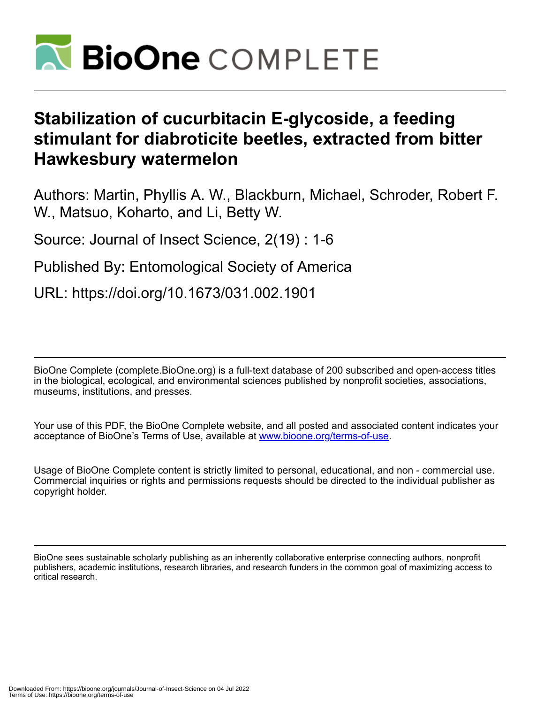

# **Stabilization of cucurbitacin E-glycoside, a feeding stimulant for diabroticite beetles, extracted from bitter Hawkesbury watermelon**

Authors: Martin, Phyllis A. W., Blackburn, Michael, Schroder, Robert F. W., Matsuo, Koharto, and Li, Betty W.

Source: Journal of Insect Science, 2(19) : 1-6

Published By: Entomological Society of America

URL: https://doi.org/10.1673/031.002.1901

BioOne Complete (complete.BioOne.org) is a full-text database of 200 subscribed and open-access titles in the biological, ecological, and environmental sciences published by nonprofit societies, associations, museums, institutions, and presses.

Your use of this PDF, the BioOne Complete website, and all posted and associated content indicates your acceptance of BioOne's Terms of Use, available at www.bioone.org/terms-of-use.

Usage of BioOne Complete content is strictly limited to personal, educational, and non - commercial use. Commercial inquiries or rights and permissions requests should be directed to the individual publisher as copyright holder.

BioOne sees sustainable scholarly publishing as an inherently collaborative enterprise connecting authors, nonprofit publishers, academic institutions, research libraries, and research funders in the common goal of maximizing access to critical research.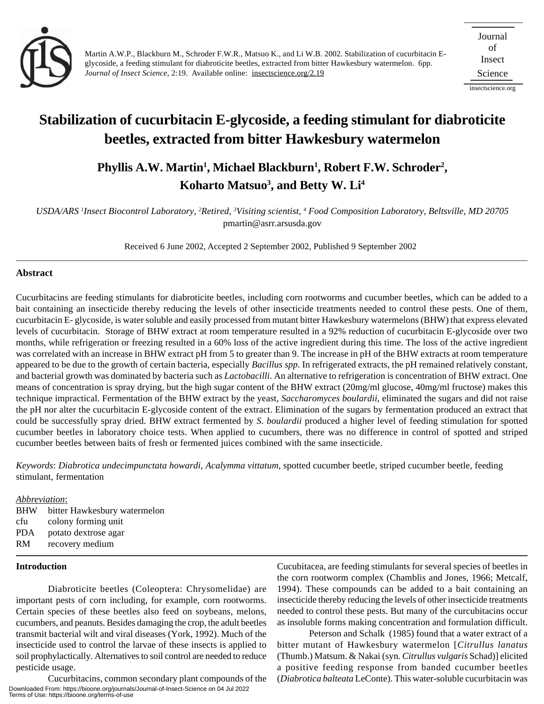

Martin A.W.P., Blackburn M., Schroder F.W.R., Matsuo K., and Li W.B. 2002. Stabilization of cucurbitacin Eglycoside, a feeding stimulant for diabroticite beetles, extracted from bitter Hawkesbury watermelon. 6pp. *Journal of Insect Science*, 2:19. Available online: insectscience.org/2.19

## **Stabilization of cucurbitacin E-glycoside, a feeding stimulant for diabroticite beetles, extracted from bitter Hawkesbury watermelon**

Phyllis A.W. Martin<sup>1</sup>, Michael Blackburn<sup>1</sup>, Robert F.W. Schroder<sup>2</sup>, **Koharto Matsuo3 , and Betty W. Li4**

*USDA/ARS 1 Insect Biocontrol Laboratory, 2 Retired, 3 Visiting scientist, 4 Food Composition Laboratory, Beltsville, MD 20705* pmartin@asrr.arsusda.gov

Received 6 June 2002, Accepted 2 September 2002, Published 9 September 2002

## **Abstract**

Cucurbitacins are feeding stimulants for diabroticite beetles, including corn rootworms and cucumber beetles, which can be added to a bait containing an insecticide thereby reducing the levels of other insecticide treatments needed to control these pests. One of them, cucurbitacin E- glycoside, is water soluble and easily processed from mutant bitter Hawkesbury watermelons (BHW) that express elevated levels of cucurbitacin. Storage of BHW extract at room temperature resulted in a 92% reduction of cucurbitacin E-glycoside over two months, while refrigeration or freezing resulted in a 60% loss of the active ingredient during this time. The loss of the active ingredient was correlated with an increase in BHW extract pH from 5 to greater than 9. The increase in pH of the BHW extracts at room temperature appeared to be due to the growth of certain bacteria, especially *Bacillus spp*. In refrigerated extracts, the pH remained relatively constant, and bacterial growth was dominated by bacteria such as *Lactobacilli*. An alternative to refrigeration is concentration of BHW extract. One means of concentration is spray drying, but the high sugar content of the BHW extract (20mg/ml glucose, 40mg/ml fructose) makes this technique impractical. Fermentation of the BHW extract by the yeast, *Saccharomyces boulardii*, eliminated the sugars and did not raise the pH nor alter the cucurbitacin E-glycoside content of the extract. Elimination of the sugars by fermentation produced an extract that could be successfully spray dried. BHW extract fermented by *S*. *boulardii* produced a higher level of feeding stimulation for spotted cucumber beetles in laboratory choice tests. When applied to cucumbers, there was no difference in control of spotted and striped cucumber beetles between baits of fresh or fermented juices combined with the same insecticide.

*Keywords*: *Diabrotica undecimpunctata howardi*, *Acalymma vittatum*, spotted cucumber beetle, striped cucumber beetle, feeding stimulant, fermentation

*Abbreviation*: BHW bitter Hawkesbury watermelon cfu colony forming unit PDA potato dextrose agar RM recovery medium

## **Introduction**

Diabroticite beetles (Coleoptera: Chrysomelidae) are important pests of corn including, for example, corn rootworms. Certain species of these beetles also feed on soybeans, melons, cucumbers, and peanuts. Besides damaging the crop, the adult beetles transmit bacterial wilt and viral diseases (York, 1992). Much of the insecticide used to control the larvae of these insects is applied to soil prophylactically. Alternatives to soil control are needed to reduce pesticide usage.

Cucurbitacins, common secondary plant compounds of the Downloaded From: https://bioone.org/journals/Journal-of-Insect-Science on 04 Jul 2022 Terms of Use: https://bioone.org/terms-of-use

Cucubitacea, are feeding stimulants for several species of beetles in the corn rootworm complex (Chamblis and Jones, 1966; Metcalf, 1994). These compounds can be added to a bait containing an insecticide thereby reducing the levels of other insecticide treatments needed to control these pests. But many of the curcubitacins occur as insoluble forms making concentration and formulation difficult.

Peterson and Schalk (1985) found that a water extract of a bitter mutant of Hawkesbury watermelon [*Citrullus lanatus* (Thumb.) Matsum. & Nakai (syn. *Citrullus vulgaris* Schad)] elicited a positive feeding response from banded cucumber beetles (*Diabrotica balteata* LeConte). This water-soluble cucurbitacin was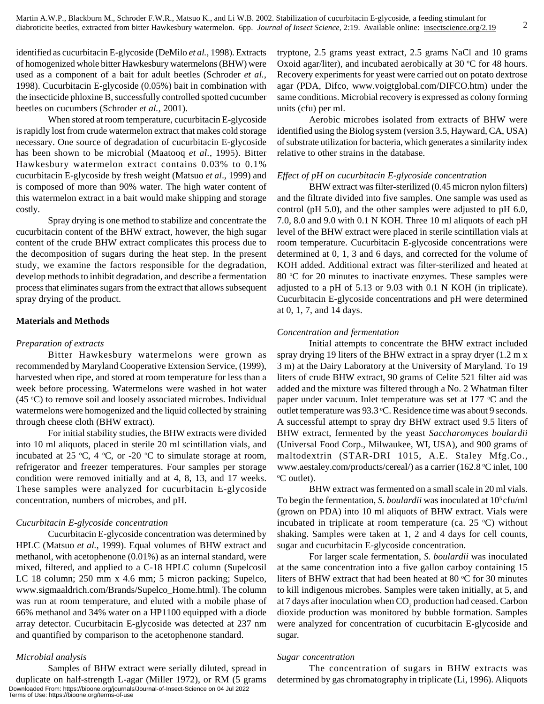identified as cucurbitacin E-glycoside (DeMilo *et al.*, 1998). Extracts of homogenized whole bitter Hawkesbury watermelons (BHW) were used as a component of a bait for adult beetles (Schroder *et al.*, 1998). Cucurbitacin E-glycoside (0.05%) bait in combination with the insecticide phloxine B, successfully controlled spotted cucumber beetles on cucumbers (Schroder *et al.,* 2001).

When stored at room temperature, cucurbitacin E-glycoside is rapidly lost from crude watermelon extract that makes cold storage necessary. One source of degradation of cucurbitacin E-glycoside has been shown to be microbial (Maatooq *et al.*, 1995). Bitter Hawkesbury watermelon extract contains 0.03% to 0.1% cucurbitacin E-glycoside by fresh weight (Matsuo *et al*., 1999) and is composed of more than 90% water. The high water content of this watermelon extract in a bait would make shipping and storage costly.

Spray drying is one method to stabilize and concentrate the cucurbitacin content of the BHW extract, however, the high sugar content of the crude BHW extract complicates this process due to the decomposition of sugars during the heat step. In the present study, we examine the factors responsible for the degradation, develop methods to inhibit degradation, and describe a fermentation process that eliminates sugars from the extract that allows subsequent spray drying of the product.

#### **Materials and Methods**

## *Preparation of extracts*

Bitter Hawkesbury watermelons were grown as recommended by Maryland Cooperative Extension Service, (1999), harvested when ripe, and stored at room temperature for less than a week before processing. Watermelons were washed in hot water (45 °C) to remove soil and loosely associated microbes. Individual watermelons were homogenized and the liquid collected by straining through cheese cloth (BHW extract).

For initial stability studies, the BHW extracts were divided into 10 ml aliquots, placed in sterile 20 ml scintillation vials, and incubated at 25 °C, 4 °C, or -20 °C to simulate storage at room, refrigerator and freezer temperatures. Four samples per storage condition were removed initially and at 4, 8, 13, and 17 weeks. These samples were analyzed for cucurbitacin E-glycoside concentration, numbers of microbes, and pH.

#### *Cucurbitacin E-glycoside concentration*

Cucurbitacin E-glycoside concentration was determined by HPLC (Matsuo *et al.*, 1999). Equal volumes of BHW extract and methanol, with acetophenone (0.01%) as an internal standard, were mixed, filtered, and applied to a C-18 HPLC column (Supelcosil LC 18 column; 250 mm x 4.6 mm; 5 micron packing; Supelco, www.sigmaaldrich.com/Brands/Supelco\_Home.html). The column was run at room temperature, and eluted with a mobile phase of 66% methanol and 34% water on a HP1100 equipped with a diode array detector. Cucurbitacin E-glycoside was detected at 237 nm and quantified by comparison to the acetophenone standard.

#### *Microbial analysis*

Samples of BHW extract were serially diluted, spread in duplicate on half-strength L-agar (Miller 1972), or RM (5 grams Downloaded From: https://bioone.org/journals/Journal-of-Insect-Science on 04 Jul 2022 Terms of Use: https://bioone.org/terms-of-use

tryptone, 2.5 grams yeast extract, 2.5 grams NaCl and 10 grams Oxoid agar/liter), and incubated aerobically at  $30 °C$  for 48 hours. Recovery experiments for yeast were carried out on potato dextrose agar (PDA, Difco, www.voigtglobal.com/DIFCO.htm) under the same conditions. Microbial recovery is expressed as colony forming units (cfu) per ml.

Aerobic microbes isolated from extracts of BHW were identified using the Biolog system (version 3.5, Hayward, CA, USA) of substrate utilization for bacteria, which generates a similarity index relative to other strains in the database.

## *Effect of pH on cucurbitacin E-glycoside concentration*

BHW extract was filter-sterilized (0.45 micron nylon filters) and the filtrate divided into five samples. One sample was used as control (pH 5.0), and the other samples were adjusted to pH 6.0, 7.0, 8.0 and 9.0 with 0.1 N KOH. Three 10 ml aliquots of each pH level of the BHW extract were placed in sterile scintillation vials at room temperature. Cucurbitacin E-glycoside concentrations were determined at 0, 1, 3 and 6 days, and corrected for the volume of KOH added. Additional extract was filter-sterilized and heated at 80 °C for 20 minutes to inactivate enzymes. These samples were adjusted to a pH of 5.13 or 9.03 with 0.1 N KOH (in triplicate). Cucurbitacin E-glycoside concentrations and pH were determined at 0, 1, 7, and 14 days.

## *Concentration and fermentation*

Initial attempts to concentrate the BHW extract included spray drying 19 liters of the BHW extract in a spray dryer (1.2 m x 3 m) at the Dairy Laboratory at the University of Maryland. To 19 liters of crude BHW extract, 90 grams of Celite 521 filter aid was added and the mixture was filtered through a No. 2 Whatman filter paper under vacuum. Inlet temperature was set at  $177$  °C and the outlet temperature was 93.3 °C. Residence time was about 9 seconds. A successful attempt to spray dry BHW extract used 9.5 liters of BHW extract, fermented by the yeast *Saccharomyces boulardii* (Universal Food Corp., Milwaukee, WI, USA), and 900 grams of maltodextrin (STAR-DRI 1015, A.E. Staley Mfg.Co., www.aestaley.com/products/cereal/) as a carrier (162.8 °C inlet, 100 <sup>o</sup>C outlet).

BHW extract was fermented on a small scale in 20 ml vials. To begin the fermentation, *S. boulardii* was inoculated at 10<sup>5</sup> cfu/ml (grown on PDA) into 10 ml aliquots of BHW extract. Vials were incubated in triplicate at room temperature (ca.  $25 \text{ }^{\circ}$ C) without shaking. Samples were taken at 1, 2 and 4 days for cell counts, sugar and cucurbitacin E-glycoside concentration.

For larger scale fermentation, *S. boulardii* was inoculated at the same concentration into a five gallon carboy containing 15 liters of BHW extract that had been heated at 80  $\mathrm{^{\circ}C}$  for 30 minutes to kill indigenous microbes. Samples were taken initially, at 5, and at 7 days after inoculation when  $\mathrm{CO}_2$  production had ceased. Carbon dioxide production was monitored by bubble formation. Samples were analyzed for concentration of cucurbitacin E-glycoside and sugar.

#### *Sugar concentration*

The concentration of sugars in BHW extracts was determined by gas chromatography in triplicate (Li, 1996). Aliquots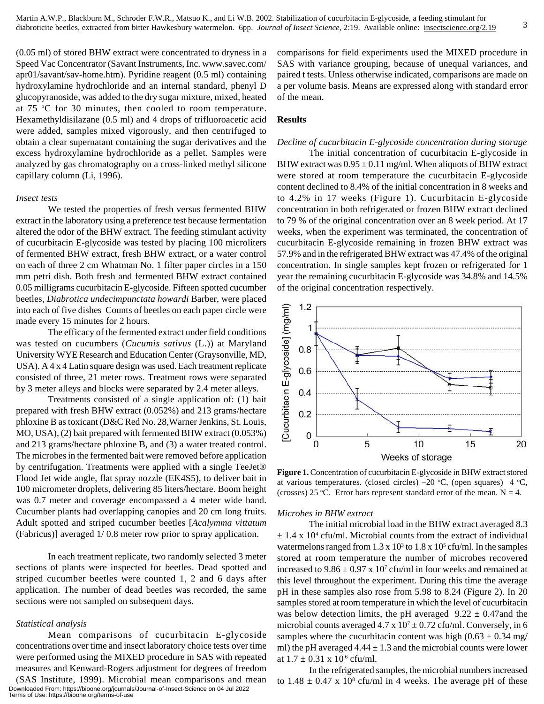(0.05 ml) of stored BHW extract were concentrated to dryness in a Speed Vac Concentrator (Savant Instruments, Inc. www.savec.com/ apr01/savant/sav-home.htm). Pyridine reagent (0.5 ml) containing hydroxylamine hydrochloride and an internal standard, phenyl D glucopyranoside, was added to the dry sugar mixture, mixed, heated at  $75$  °C for 30 minutes, then cooled to room temperature. Hexamethyldisilazane (0.5 ml) and 4 drops of trifluoroacetic acid were added, samples mixed vigorously, and then centrifuged to obtain a clear supernatant containing the sugar derivatives and the excess hydroxylamine hydrochloride as a pellet. Samples were analyzed by gas chromatography on a cross-linked methyl silicone capillary column (Li, 1996).

#### *Insect tests*

We tested the properties of fresh versus fermented BHW extract in the laboratory using a preference test because fermentation altered the odor of the BHW extract. The feeding stimulant activity of cucurbitacin E-glycoside was tested by placing 100 microliters of fermented BHW extract, fresh BHW extract, or a water control on each of three 2 cm Whatman No. 1 filter paper circles in a 150 mm petri dish. Both fresh and fermented BHW extract contained 0.05 milligrams cucurbitacin E-glycoside. Fifteen spotted cucumber beetles, *Diabrotica undecimpunctata howardi* Barber, were placed into each of five dishes Counts of beetles on each paper circle were made every 15 minutes for 2 hours.

The efficacy of the fermented extract under field conditions was tested on cucumbers (*Cucumis sativus* (L.)) at Maryland University WYE Research and Education Center (Graysonville, MD, USA). A 4 x 4 Latin square design was used. Each treatment replicate consisted of three, 21 meter rows. Treatment rows were separated by 3 meter alleys and blocks were separated by 2.4 meter alleys.

Treatments consisted of a single application of: (1) bait prepared with fresh BHW extract (0.052%) and 213 grams/hectare phloxine B as toxicant (D&C Red No. 28,Warner Jenkins, St. Louis, MO, USA), (2) bait prepared with fermented BHW extract (0.053%) and 213 grams/hectare phloxine B, and (3) a water treated control. The microbes in the fermented bait were removed before application by centrifugation. Treatments were applied with a single TeeJet® Flood Jet wide angle, flat spray nozzle (EK4S5), to deliver bait in 100 micrometer droplets, delivering 85 liters/hectare. Boom height was 0.7 meter and coverage encompassed a 4 meter wide band. Cucumber plants had overlapping canopies and 20 cm long fruits. Adult spotted and striped cucumber beetles [*Acalymma vittatum* (Fabricus)] averaged 1/ 0.8 meter row prior to spray application.

In each treatment replicate, two randomly selected 3 meter sections of plants were inspected for beetles. Dead spotted and striped cucumber beetles were counted 1, 2 and 6 days after application. The number of dead beetles was recorded, the same sections were not sampled on subsequent days.

#### *Statistical analysis*

Mean comparisons of cucurbitacin E-glycoside concentrations over time and insect laboratory choice tests over time were performed using the MIXED procedure in SAS with repeated measures and Kenward-Rogers adjustment for degrees of freedom (SAS Institute, 1999). Microbial mean comparisons and mean Downloaded From: https://bioone.org/journals/Journal-of-Insect-Science on 04 Jul 2022 Terms of Use: https://bioone.org/terms-of-use

comparisons for field experiments used the MIXED procedure in SAS with variance grouping, because of unequal variances, and paired t tests. Unless otherwise indicated, comparisons are made on a per volume basis. Means are expressed along with standard error of the mean.

#### **Results**

#### *Decline of cucurbitacin E-glycoside concentration during storage*

The initial concentration of cucurbitacin E-glycoside in BHW extract was  $0.95 \pm 0.11$  mg/ml. When aliquots of BHW extract were stored at room temperature the cucurbitacin E-glycoside content declined to 8.4% of the initial concentration in 8 weeks and to 4.2% in 17 weeks (Figure 1). Cucurbitacin E-glycoside concentration in both refrigerated or frozen BHW extract declined to 79 % of the original concentration over an 8 week period. At 17 weeks, when the experiment was terminated, the concentration of cucurbitacin E-glycoside remaining in frozen BHW extract was 57.9% and in the refrigerated BHW extract was 47.4% of the original concentration. In single samples kept frozen or refrigerated for 1 year the remaining cucurbitacin E-glycoside was 34.8% and 14.5% of the original concentration respectively.



**Figure 1.** Concentration of cucurbitacin E-glycoside in BHW extract stored at various temperatures. (closed circles)  $-20$  °C, (open squares) 4 °C, (crosses) 25 °C. Error bars represent standard error of the mean.  $N = 4$ .

### *Microbes in BHW extract*

The initial microbial load in the BHW extract averaged 8.3  $\pm$  1.4 x 10<sup>4</sup> cfu/ml. Microbial counts from the extract of individual watermelons ranged from  $1.3 \times 10^3$  to  $1.8 \times 10^5$  cfu/ml. In the samples stored at room temperature the number of microbes recovered increased to  $9.86 \pm 0.97 \times 10^7$  cfu/ml in four weeks and remained at this level throughout the experiment. During this time the average pH in these samples also rose from 5.98 to 8.24 (Figure 2). In 20 samples stored at room temperature in which the level of cucurbitacin was below detection limits, the pH averaged  $9.22 \pm 0.47$  and the microbial counts averaged  $4.7 \times 10^7 \pm 0.72$  cfu/ml. Conversely, in 6 samples where the cucurbitacin content was high  $(0.63 \pm 0.34 \text{ mg}/)$ ml) the pH averaged  $4.44 \pm 1.3$  and the microbial counts were lower at  $1.7 \pm 0.31 \times 10^6$  cfu/ml.

In the refrigerated samples, the microbial numbers increased to  $1.48 \pm 0.47$  x  $10^8$  cfu/ml in 4 weeks. The average pH of these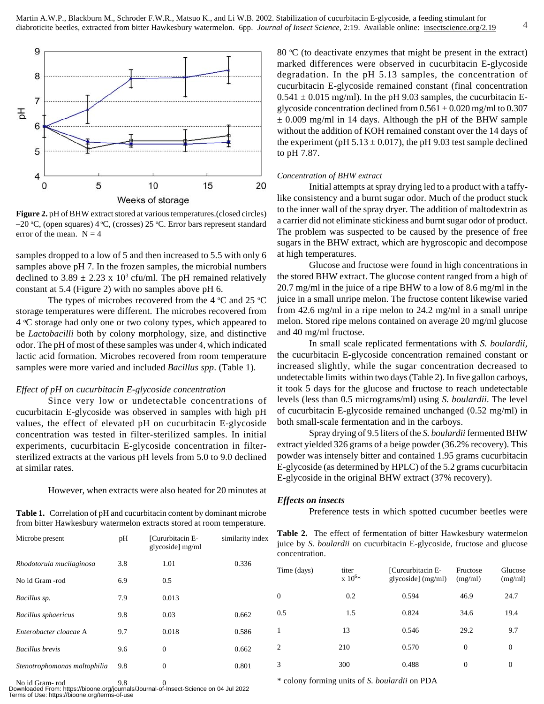

**Figure 2.** pH of BHW extract stored at various temperatures.(closed circles) –20 °C, (open squares) 4 °C, (crosses) 25 °C. Error bars represent standard error of the mean.  $N = 4$ 

samples dropped to a low of 5 and then increased to 5.5 with only 6 samples above pH 7. In the frozen samples, the microbial numbers declined to  $3.89 \pm 2.23 \times 10^3$  cfu/ml. The pH remained relatively constant at 5.4 (Figure 2) with no samples above pH 6.

The types of microbes recovered from the 4  $\rm{°C}$  and 25  $\rm{°C}$ storage temperatures were different. The microbes recovered from 4 °C storage had only one or two colony types, which appeared to be *Lactobacilli* both by colony morphology, size, and distinctive odor. The pH of most of these samples was under 4, which indicated lactic acid formation. Microbes recovered from room temperature samples were more varied and included *Bacillus spp*. (Table 1).

#### *Effect of pH on cucurbitacin E-glycoside concentration*

Since very low or undetectable concentrations of cucurbitacin E-glycoside was observed in samples with high pH values, the effect of elevated pH on cucurbitacin E-glycoside concentration was tested in filter-sterilized samples. In initial experiments, cucurbitacin E-glycoside concentration in filtersterilized extracts at the various pH levels from 5.0 to 9.0 declined at similar rates.

However, when extracts were also heated for 20 minutes at

**Table 1.** Correlation of pH and cucurbitacin content by dominant microbe from bitter Hawkesbury watermelon extracts stored at room temperature.

| Microbe present              | pH  | [Cururbitacin E-<br>glycoside] mg/ml | similarity index |
|------------------------------|-----|--------------------------------------|------------------|
| Rhodotorula mucilaginosa     | 3.8 | 1.01                                 | 0.336            |
| No id Gram -rod              | 6.9 | 0.5                                  |                  |
| Bacillus sp.                 | 7.9 | 0.013                                |                  |
| <b>Bacillus</b> sphaericus   | 9.8 | 0.03                                 | 0.662            |
| Enterobacter cloacae A       | 9.7 | 0.018                                | 0.586            |
| <b>Bacillus</b> brevis       | 9.6 | $\mathbf{0}$                         | 0.662            |
| Stenotrophomonas maltophilia | 9.8 | $\mathbf{0}$                         | 0.801            |

NoidGram-rod 9.8 0 Downloaded From: https://bioone.org/journals/Journal-of-Insect-Science on 04 Jul 2022 Terms of Use: https://bioone.org/terms-of-use

 $80 °C$  (to deactivate enzymes that might be present in the extract) marked differences were observed in cucurbitacin E-glycoside degradation. In the pH 5.13 samples, the concentration of cucurbitacin E-glycoside remained constant (final concentration  $0.541 \pm 0.015$  mg/ml). In the pH 9.03 samples, the cucurbitacin Eglycoside concentration declined from  $0.561 \pm 0.020$  mg/ml to  $0.307$  $\pm$  0.009 mg/ml in 14 days. Although the pH of the BHW sample without the addition of KOH remained constant over the 14 days of the experiment (pH  $5.13 \pm 0.017$ ), the pH 9.03 test sample declined to pH 7.87.

#### *Concentration of BHW extract*

Initial attempts at spray drying led to a product with a taffylike consistency and a burnt sugar odor. Much of the product stuck to the inner wall of the spray dryer. The addition of maltodextrin as a carrier did not eliminate stickiness and burnt sugar odor of product. The problem was suspected to be caused by the presence of free sugars in the BHW extract, which are hygroscopic and decompose at high temperatures.

Glucose and fructose were found in high concentrations in the stored BHW extract. The glucose content ranged from a high of 20.7 mg/ml in the juice of a ripe BHW to a low of 8.6 mg/ml in the juice in a small unripe melon. The fructose content likewise varied from 42.6 mg/ml in a ripe melon to 24.2 mg/ml in a small unripe melon. Stored ripe melons contained on average 20 mg/ml glucose and 40 mg/ml fructose.

In small scale replicated fermentations with *S. boulardii*, the cucurbitacin E-glycoside concentration remained constant or increased slightly, while the sugar concentration decreased to undetectable limits within two days (Table 2). In five gallon carboys, it took 5 days for the glucose and fructose to reach undetectable levels (less than 0.5 micrograms/ml) using *S. boulardii*. The level of cucurbitacin E-glycoside remained unchanged (0.52 mg/ml) in both small-scale fermentation and in the carboys.

Spray drying of 9.5 liters of the *S. boulardii* fermented BHW extract yielded 326 grams of a beige powder (36.2% recovery). This powder was intensely bitter and contained 1.95 grams cucurbitacin E-glycoside (as determined by HPLC) of the 5.2 grams cucurbitacin E-glycoside in the original BHW extract (37% recovery).

#### *Effects on insects*

Preference tests in which spotted cucumber beetles were

Table 2. The effect of fermentation of bitter Hawkesbury watermelon juice by *S. boulardii* on cucurbitacin E-glycoside, fructose and glucose concentration.

| Time (days) | titer<br>$x 10^{6*}$ | [Curcurbitacin E-<br>glycoside] $(mg/ml)$ | Fructose<br>(mg/ml) | Glucose<br>(mg/ml) |
|-------------|----------------------|-------------------------------------------|---------------------|--------------------|
| $\Omega$    | 0.2                  | 0.594                                     | 46.9                | 24.7               |
| 0.5         | 1.5                  | 0.824                                     | 34.6                | 19.4               |
| 1           | 13                   | 0.546                                     | 29.2                | 9.7                |
| 2           | 210                  | 0.570                                     | $\overline{0}$      | $\mathbf{0}$       |
| 3           | 300                  | 0.488                                     | $\overline{0}$      | $\Omega$           |

\* colony forming units of *S. boulardii* on PDA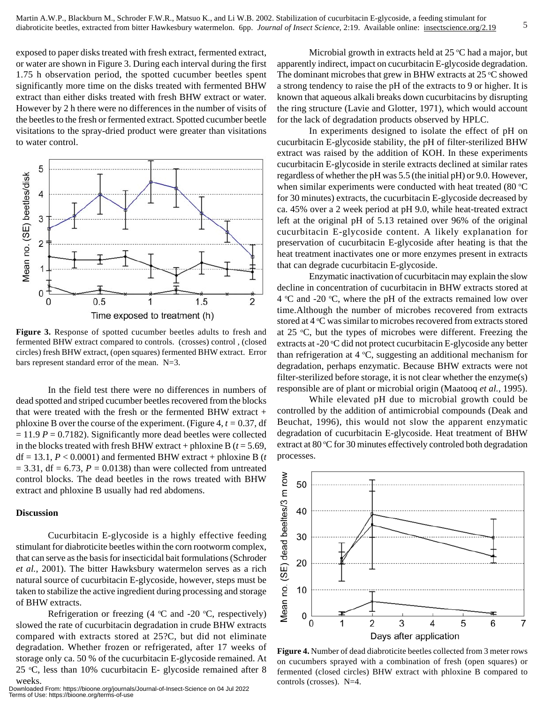exposed to paper disks treated with fresh extract, fermented extract, or water are shown in Figure 3. During each interval during the first 1.75 h observation period, the spotted cucumber beetles spent significantly more time on the disks treated with fermented BHW extract than either disks treated with fresh BHW extract or water. However by 2 h there were no differences in the number of visits of the beetles to the fresh or fermented extract. Spotted cucumber beetle visitations to the spray-dried product were greater than visitations to water control.



**Figure 3.** Response of spotted cucumber beetles adults to fresh and fermented BHW extract compared to controls. (crosses) control , (closed circles) fresh BHW extract, (open squares) fermented BHW extract. Error bars represent standard error of the mean. N=3.

In the field test there were no differences in numbers of dead spotted and striped cucumber beetles recovered from the blocks that were treated with the fresh or the fermented BHW extract  $+$ phloxine B over the course of the experiment. (Figure 4,  $t = 0.37$ , df  $= 11.9 P = 0.7182$ . Significantly more dead beetles were collected in the blocks treated with fresh BHW extract + phloxine B  $(t = 5.69)$ ,  $df = 13.1, P < 0.0001$ ) and fermented BHW extract + phloxine B (*t*)  $= 3.31$ , df  $= 6.73$ ,  $P = 0.0138$ ) than were collected from untreated control blocks. The dead beetles in the rows treated with BHW extract and phloxine B usually had red abdomens.

## **Discussion**

Cucurbitacin E-glycoside is a highly effective feeding stimulant for diabroticite beetles within the corn rootworm complex, that can serve as the basis for insecticidal bait formulations (Schroder *et al.*, 2001). The bitter Hawksbury watermelon serves as a rich natural source of cucurbitacin E-glycoside, however, steps must be taken to stabilize the active ingredient during processing and storage of BHW extracts.

Refrigeration or freezing (4  $\rm{°C}$  and -20  $\rm{°C}$ , respectively) slowed the rate of cucurbitacin degradation in crude BHW extracts compared with extracts stored at 25?C, but did not eliminate degradation. Whether frozen or refrigerated, after 17 weeks of storage only ca. 50 % of the cucurbitacin E-glycoside remained. At 25 °C, less than 10% cucurbitacin E- glycoside remained after 8 weeks.

Downloaded From: https://bioone.org/journals/Journal-of-Insect-Science on 04 Jul 2022 Terms of Use: https://bioone.org/terms-of-use

Microbial growth in extracts held at  $25^{\circ}$ C had a major, but apparently indirect, impact on cucurbitacin E-glycoside degradation. The dominant microbes that grew in BHW extracts at  $25^{\circ}$ C showed a strong tendency to raise the pH of the extracts to 9 or higher. It is known that aqueous alkali breaks down cucurbitacins by disrupting the ring structure (Lavie and Glotter, 1971), which would account for the lack of degradation products observed by HPLC.

In experiments designed to isolate the effect of pH on cucurbitacin E-glycoside stability, the pH of filter-sterilized BHW extract was raised by the addition of KOH. In these experiments cucurbitacin E-glycoside in sterile extracts declined at similar rates regardless of whether the pH was 5.5 (the initial pH) or 9.0. However, when similar experiments were conducted with heat treated  $(80 °C)$ for 30 minutes) extracts, the cucurbitacin E-glycoside decreased by ca. 45% over a 2 week period at pH 9.0, while heat-treated extract left at the original pH of 5.13 retained over 96% of the original cucurbitacin E-glycoside content. A likely explanation for preservation of cucurbitacin E-glycoside after heating is that the heat treatment inactivates one or more enzymes present in extracts that can degrade cucurbitacin E-glycoside.

Enzymatic inactivation of cucurbitacin may explain the slow decline in concentration of cucurbitacin in BHW extracts stored at  $4 \,^{\circ}\text{C}$  and -20  $^{\circ}\text{C}$ , where the pH of the extracts remained low over time.Although the number of microbes recovered from extracts stored at 4 °C was similar to microbes recovered from extracts stored at 25 °C, but the types of microbes were different. Freezing the extracts at -20 °C did not protect cucurbitacin E-glycoside any better than refrigeration at  $4 °C$ , suggesting an additional mechanism for degradation, perhaps enzymatic. Because BHW extracts were not filter-sterilized before storage, it is not clear whether the enzyme(s) responsible are of plant or microbial origin (Maatooq *et al.*, 1995).

While elevated pH due to microbial growth could be controlled by the addition of antimicrobial compounds (Deak and Beuchat, 1996), this would not slow the apparent enzymatic degradation of cucurbitacin E-glycoside. Heat treatment of BHW extract at 80 °C for 30 minutes effectively controled both degradation processes.



**Figure 4.** Number of dead diabroticite beetles collected from 3 meter rows on cucumbers sprayed with a combination of fresh (open squares) or fermented (closed circles) BHW extract with phloxine B compared to controls (crosses). N=4.